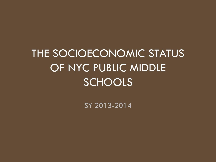THE SOCIOECONOMIC STATUS OF NYC PUBLIC MIDDLE **SCHOOLS** 

SY 2013-2014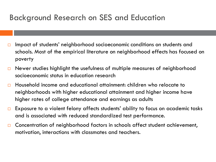### Background Research on SES and Education

- $\Box$  Impact of students' neighborhood socioeconomic conditions on students and schools. Most of the empirical literature on neighborhood effects has focused on poverty
- $\Box$  Newer studies highlight the usefulness of multiple measures of neighborhood socioeconomic status in education research
- Household income and educational attainment: children who relocate to neighborhoods with higher educational attainment and higher income have higher rates of college attendance and earnings as adults
- $\square$  Exposure to a violent felony affects students' ability to focus on academic tasks and is associated with reduced standardized test performance.
- □ Concentration of neighborhood factors in schools affect student achievement, motivation, interactions with classmates and teachers.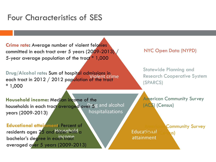### Four Characteristics of SES

**Violent**  5-year average population of the tract \* 1,000 **Crime rate:** Average number of violent felonies committed in each tract over 5 years (2009-2013)

Violent crime **Drug/Alcohol rate**: Sum of hospital admissions in each tract in 2012 / 2012 population of the tract \* 1,000

NYC Open Data (NYPD)

Statewide Planning and Research Cooperative System (SPARCS)

households in each tract averaged over 5g and alcohol hospitalizations **Household income:** Median income of the years (2009-2013)

**Educational** 

**American Community Survey** (ACS) (Census)

**attainme Educational attainment:** Percent of residents ages 25 and drusebold <sub>a</sub> bachelor's degree in each mar averaged over 5 years (2009-2013)

Educational (Census) attainment

**Household** 

Community Survey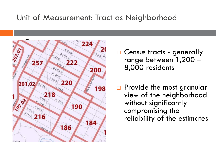### Unit of Measurement: Tract as Neighborhood



□ Census tracts - generally range between 1,200 – 8,000 residents

**Provide the most granular** view of the neighborhood without significantly compromising the reliability of the estimates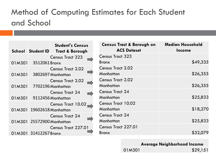# Method of Computing Estimates for Each Student and School

|        |                           | <b>Student's Census</b><br>School Student ID Tract & Borough | <b>Census Tract &amp; Borough on</b><br><b>ACS Dataset</b> | <b>Median Household</b><br><b>Income</b> |
|--------|---------------------------|--------------------------------------------------------------|------------------------------------------------------------|------------------------------------------|
|        |                           | <b>Census Tract 323</b>                                      | <b>Census Tract 323</b>                                    |                                          |
| 01M301 | 3512061 Bronx             |                                                              | <b>Bronx</b>                                               | \$49,335                                 |
|        |                           | <b>Census Tract 2.02</b>                                     | <b>Census Tract 2.02</b>                                   |                                          |
| 01M301 |                           | 3802697 Manhattan                                            | Manhattan                                                  | \$26,355                                 |
|        |                           | <b>Census Tract 2.02</b>                                     | <b>Census Tract 2.02</b>                                   |                                          |
| 01M301 |                           | 7702196 Manhattan                                            | Manhattan                                                  | \$26,355                                 |
|        |                           | <b>Census Tract 24</b>                                       | <b>Census Tract 24</b>                                     |                                          |
| 01M301 |                           | 9112456 Manhattan                                            | Manhattan                                                  | \$25,833                                 |
|        |                           | Census Tract 10.02                                           | <b>Census Tract 10.02</b>                                  |                                          |
|        | 01M301 19602618 Manhattan |                                                              | Manhattan                                                  | \$18,270                                 |
|        |                           | <b>Census Tract 24</b>                                       | <b>Census Tract 24</b>                                     |                                          |
|        | 01M301 25572900 Manhattan |                                                              | Manhattan                                                  | \$25,833                                 |
|        |                           | Census Tract 227.01                                          | Census Tract 227.01                                        |                                          |
|        | 01M301 31412267 Bronx     |                                                              | <b>Bronx</b>                                               | \$32,079                                 |

**Average Neighborhood Income**

01M301 \$29,151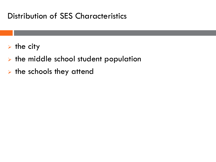### Distribution of SES Characteristics

- $\triangleright$  the city
- $\triangleright$  the middle school student population
- $\triangleright$  the schools they attend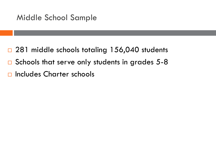- □ 281 middle schools totaling 156,040 students
- $\Box$  Schools that serve only students in grades 5-8
- n Includes Charter schools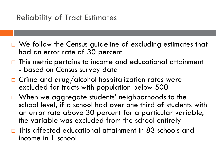### Reliability of Tract Estimates

- □ We follow the Census guideline of excluding estimates that had an error rate of 30 percent
- $\Box$  This metric pertains to income and educational attainment - based on Census survey data
- $\Box$  Crime and drug/alcohol hospitalization rates were excluded for tracts with population below 500
- □ When we aggregate students' neighborhoods to the school level, if a school had over one third of students with an error rate above 30 percent for a particular variable, the variable was excluded from the school entirely
- $\Box$  This affected educational attainment in 83 schools and income in 1 school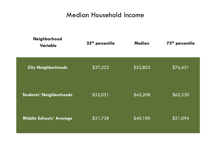#### Median Household Income

| Neighborhood<br><b>Variable</b> | 25 <sup>th</sup> percentile | <b>Median</b> | 75 <sup>th</sup> percentile |
|---------------------------------|-----------------------------|---------------|-----------------------------|
| <b>City Neighborhoods</b>       | \$37,222                    | \$52,803      | \$76,431                    |
| <b>Students' Neighborhoods</b>  | \$32,051                    | \$45,208      | \$62,230                    |
| <b>Middle Schools' Average</b>  | \$31,738                    | \$40,180      | \$51,094                    |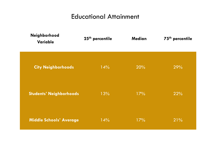#### Educational Attainment

| Neighborhood<br>Variable       | 25 <sup>th</sup> percentile | <b>Median</b> | 75 <sup>th</sup> percentile |
|--------------------------------|-----------------------------|---------------|-----------------------------|
| <b>City Neighborhoods</b>      | 14%                         | 20%           | 29%                         |
| <b>Students' Neighborhoods</b> | 13%                         | 17%           | 22%                         |
| <b>Middle Schools' Average</b> | 14%                         | 17%           | 21%                         |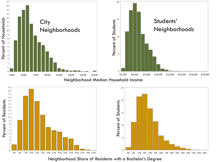

Neighborhood Share of Residents with a Bachelor's Degree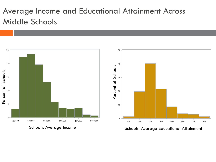# Average Income and Educational Attainment Across Middle Schools

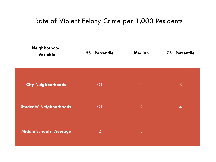#### Rate of Violent Felony Crime per 1,000 Residents

| Neighborhood<br>Variable       | 25 <sup>th</sup> Percentile | <b>Median</b>  | 75 <sup>th</sup> Percentile |
|--------------------------------|-----------------------------|----------------|-----------------------------|
| <b>City Neighborhoods</b>      | $\leq$                      | $\overline{2}$ | 3                           |
| <b>Students' Neighborhoods</b> | $\leq$                      | $\overline{2}$ | $\overline{A}$              |
| <b>Middle Schools' Average</b> | $\overline{2}$              | 3              | $\overline{A}$              |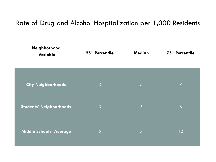#### Rate of Drug and Alcohol Hospitalization per 1,000 Residents

| Neighborhood<br>Variable       | 25 <sup>th</sup> Percentile | <b>Median</b>  | 75th Percentile |
|--------------------------------|-----------------------------|----------------|-----------------|
| <b>City Neighborhoods</b>      | 3                           | 5              | $\overline{7}$  |
| Students' Neighborhoods        | 3                           | 5              | 8               |
| <b>Middle Schools' Average</b> | 5                           | $\overline{7}$ | 10              |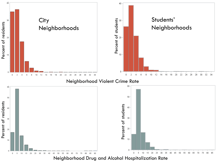

Neighborhood Drug and Alcohol Hospitalization Rate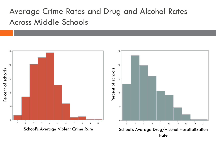# Average Crime Rates and Drug and Alcohol Rates Across Middle Schools

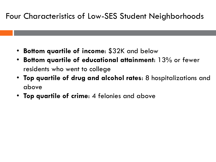### Four Characteristics of Low-SES Student Neighborhoods

- **Bottom quartile of income**: \$32K and below
- **Bottom quartile of educational attainment**: 13% or fewer residents who went to college
- **Top quartile of drug and alcohol rates**: 8 hospitalizations and above
- **Top quartile of crime**: 4 felonies and above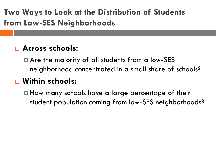**Two Ways to Look at the Distribution of Students from Low-SES Neighborhoods**

### **Across schools:**

**□** Are the majority of all students from a low-SES neighborhood concentrated in a small share of schools?

# **Within schools:**

**□** How many schools have a large percentage of their student population coming from low-SES neighborhoods?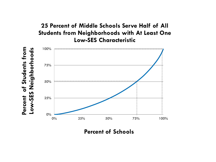#### **25 Percent of Middle Schools Serve Half of All Students from Neighborhoods with At Least One Low-SES Characteristic**



**Percent of Schools**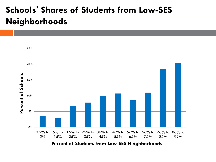# **Schools' Shares of Students from Low-SES Neighborhoods**

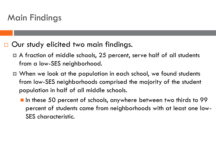# Main Findings

□ Our study elicited two main findings.

- A fraction of middle schools, 25 percent, serve half of all students from a low-SES neighborhood.
- When we look at the population in each school, we found students from low-SES neighborhoods comprised the majority of the student population in half of all middle schools.
	- In these 50 percent of schools, anywhere between two thirds to 99 percent of students came from neighborhoods with at least one low-SES characteristic.